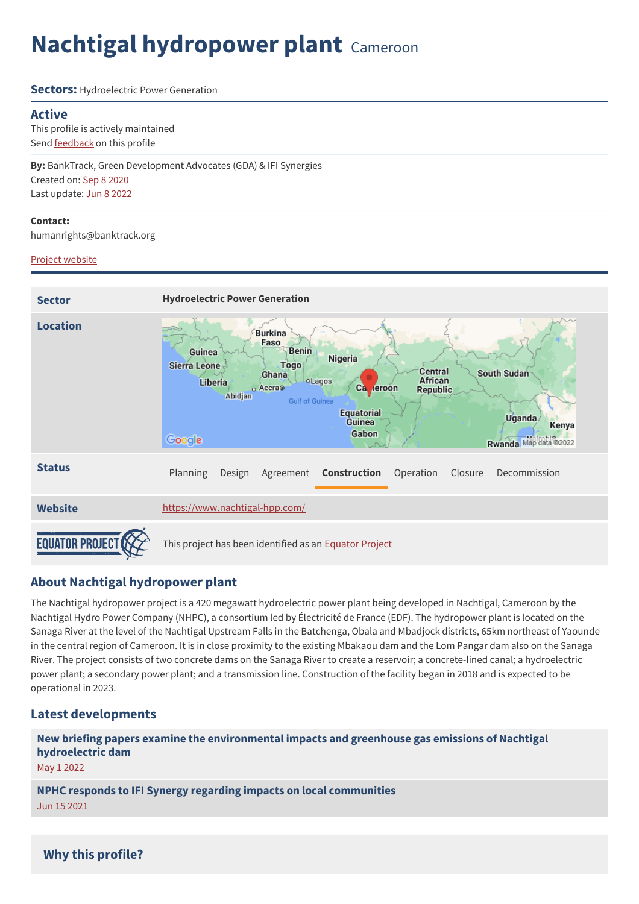# **Nachtigal hydropower plant** Cameroon

#### **Sectors:** Hydroelectric Power Generation

#### **Active**

This profile is actively maintained Send [feedback](https://www.banktrack.org/feedback/dodgydeal/nachtigal_hydropower_plant) on this profile

**By:** BankTrack, Green Development Advocates (GDA) & IFI Synergies Created on: Sep 8 2020 Last update: Jun 8 2022

#### **Contact:**

humanrights@banktrack.org

#### Project [website](https://www.nachtigal-hpp.com/)



## **About Nachtigal hydropower plant**

The Nachtigal hydropower project is a 420 megawatt hydroelectric power plant being developed in Nachtigal, Cameroon by the Nachtigal Hydro Power Company (NHPC), a consortium led by Électricité de France (EDF). The hydropower plant is located on the Sanaga River at the level of the Nachtigal Upstream Falls in the Batchenga, Obala and Mbadjock districts, 65km northeast of Yaounde in the central region of Cameroon. It is in close proximity to the existing Mbakaou dam and the Lom Pangar dam also on the Sanaga River. The project consists of two concrete dams on the Sanaga River to create a reservoir; a concrete-lined canal; a hydroelectric power plant; a secondary power plant; and a transmission line. Construction of the facility began in 2018 and is expected to be operational in 2023.

## **Latest developments**

**New briefing papers examine the [environmental](javascript:void(0)) impacts and greenhouse gas emissions of Nachtigal hydroelectric dam**

May 1 2022

**NPHC responds to IFI Synergy regarding impacts on local [communities](javascript:void(0))** Jun 15 2021

## **Why this profile?**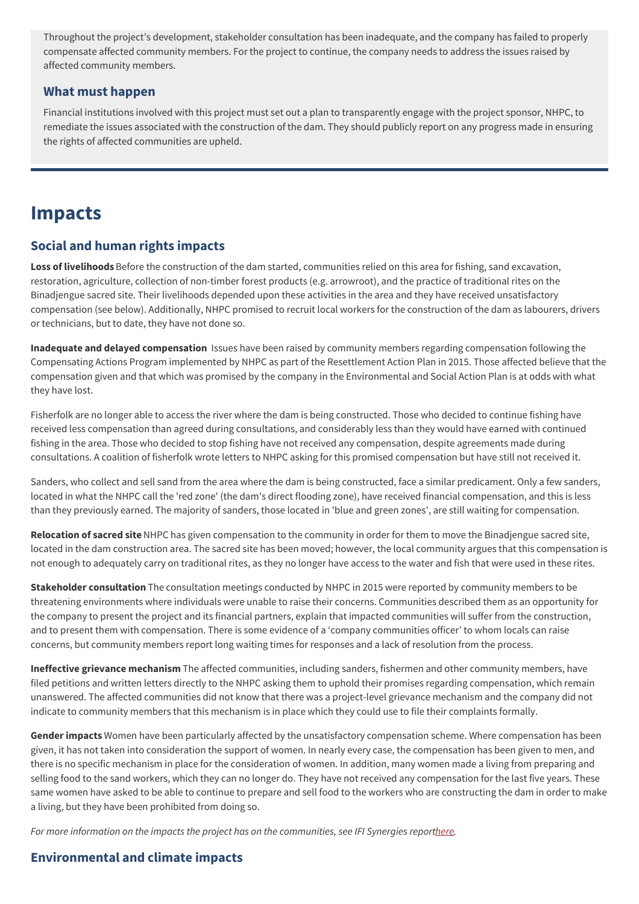Throughout the project's development, stakeholder consultation has been inadequate, and the company has failed to properly compensate affected community members. For the project to continue, the company needs to address the issues raised by affected community members.

### **What must happen**

Financial institutions involved with this project must set out a plan to transparently engage with the project sponsor, NHPC, to remediate the issues associated with the construction of the dam. They should publicly report on any progress made in ensuring the rights of affected communities are upheld.

## **Impacts**

## **Social and human rights impacts**

**Loss of livelihoods** Before the construction of the dam started, communities relied on this area for fishing, sand excavation, restoration, agriculture, collection of non-timber forest products (e.g. arrowroot), and the practice of traditional rites on the Binadjengue sacred site. Their livelihoods depended upon these activities in the area and they have received unsatisfactory compensation (see below). Additionally, NHPC promised to recruit local workers for the construction of the dam as labourers, drivers or technicians, but to date, they have not done so.

**Inadequate and delayed compensation** Issues have been raised by community members regarding compensation following the Compensating Actions Program implemented by NHPC as part of the Resettlement Action Plan in 2015. Those affected believe that the compensation given and that which was promised by the company in the Environmental and Social Action Plan is at odds with what they have lost.

Fisherfolk are no longer able to access the river where the dam is being constructed. Those who decided to continue fishing have received less compensation than agreed during consultations, and considerably less than they would have earned with continued fishing in the area. Those who decided to stop fishing have not received any compensation, despite agreements made during consultations. A coalition of fisherfolk wrote letters to NHPC asking for this promised compensation but have still not received it.

Sanders, who collect and sell sand from the area where the dam is being constructed, face a similar predicament. Only a few sanders, located in what the NHPC call the 'red zone' (the dam's direct flooding zone), have received financial compensation, and this is less than they previously earned. The majority of sanders, those located in 'blue and green zones', are still waiting for compensation.

**Relocation of sacred site**NHPC has given compensation to the community in order for them to move the Binadjengue sacred site, located in the dam construction area. The sacred site has been moved; however, the local community argues that this compensation is not enough to adequately carry on traditional rites, as they no longer have access to the water and fish that were used in these rites.

**Stakeholder consultation** The consultation meetings conducted by NHPC in 2015 were reported by community members to be threatening environments where individuals were unable to raise their concerns. Communities described them as an opportunity for the company to present the project and its financial partners, explain that impacted communities will suffer from the construction, and to present them with compensation. There is some evidence of a ʻcompany communities officer' to whom locals can raise concerns, but community members report long waiting times for responses and a lack of resolution from the process.

**Ineffective grievance mechanism** The affected communities, including sanders, fishermen and other community members, have filed petitions and written letters directly to the NHPC asking them to uphold their promises regarding compensation, which remain unanswered. The affected communities did not know that there was a project-level grievance mechanism and the company did not indicate to community members that this mechanism is in place which they could use to file their complaints formally.

**Gender impacts** Women have been particularly affected by the unsatisfactory compensation scheme. Where compensation has been given, it has not taken into consideration the support of women. In nearly every case, the compensation has been given to men, and there is no specific mechanism in place for the consideration of women. In addition, many women made a living from preparing and selling food to the sand workers, which they can no longer do. They have not received any compensation for the last five years. These same women have asked to be able to continue to prepare and sell food to the workers who are constructing the dam in order to make a living, but they have been prohibited from doing so.

For more information on the impacts the project has on the communities, see IFI Synergies repor[there](https://www.banktrack.org/download/data_collection_of_impacts_of_the_nachtigal_hydroelectric_dam_construction_project_on_local_communities_and_socioprofessional_corps).

## **Environmental and climate impacts**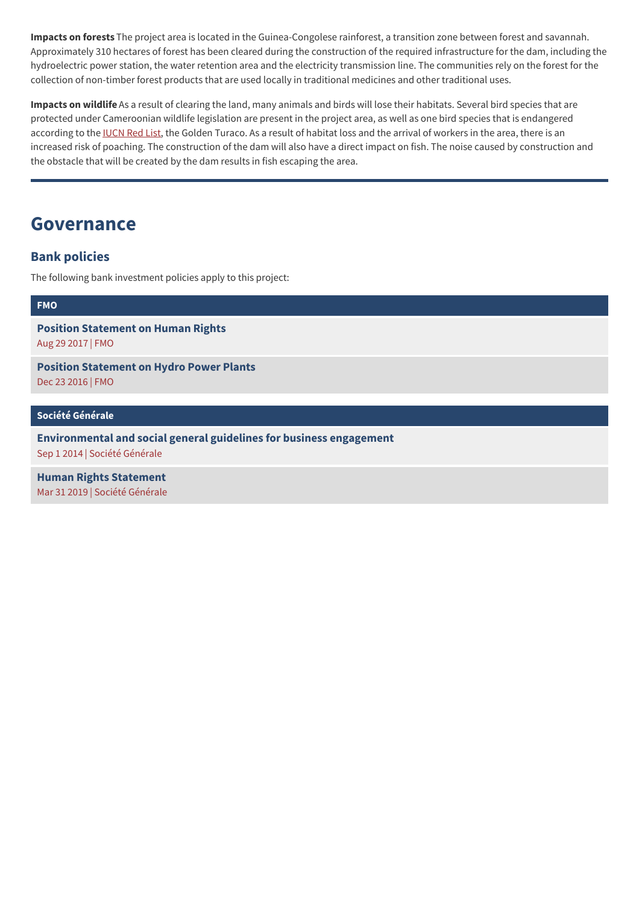**Impacts on forests** The project area is located in the Guinea-Congolese rainforest, a transition zone between forest and savannah. Approximately 310 hectares of forest has been cleared during the construction of the required infrastructure for the dam, including the hydroelectric power station, the water retention area and the electricity transmission line. The communities rely on the forest for the collection of non-timber forest products that are used locally in traditional medicines and other traditional uses.

**Impacts on wildlife** As a result of clearing the land, many animals and birds will lose their habitats. Several bird species that are protected under Cameroonian wildlife legislation are present in the project area, as well as one bird species that is endangered according to the [IUCN](https://www.iucnredlist.org/) Red List, the Golden Turaco. As a result of habitat loss and the arrival of workers in the area, there is an increased risk of poaching. The construction of the dam will also have a direct impact on fish. The noise caused by construction and the obstacle that will be created by the dam results in fish escaping the area.

## **Governance**

## **Bank policies**

The following bank investment policies apply to this project:

#### **[FMO](https://www.banktrack.org/show/bankprofile/fmo)**

**Position [Statement](https://www.banktrack.org/download/position_statement_on_human_rights) on Human Rights** Aug 29 2017 | FMO

**Position [Statement](https://www.banktrack.org/download/position_statement_on_hydro_power_plants) on Hydro Power Plants** Dec 23 2016 | FMO

**Société [Générale](https://www.banktrack.org/show/bankprofile/societe_generale)**

**[Environmental](http://www.societegenerale.com/sites/default/files/documents/Document%20RSE/Finance%20responsable/Envrionmental%20and%20Social%20General%20Guidelines%20for%20Business%20Engagement.pdf) and social general guidelines for business engagement** Sep 1 2014 | Société Générale

**Human Rights [Statement](https://www.banktrack.org/download/human_rights_statement_9)** Mar 31 2019 | Société Générale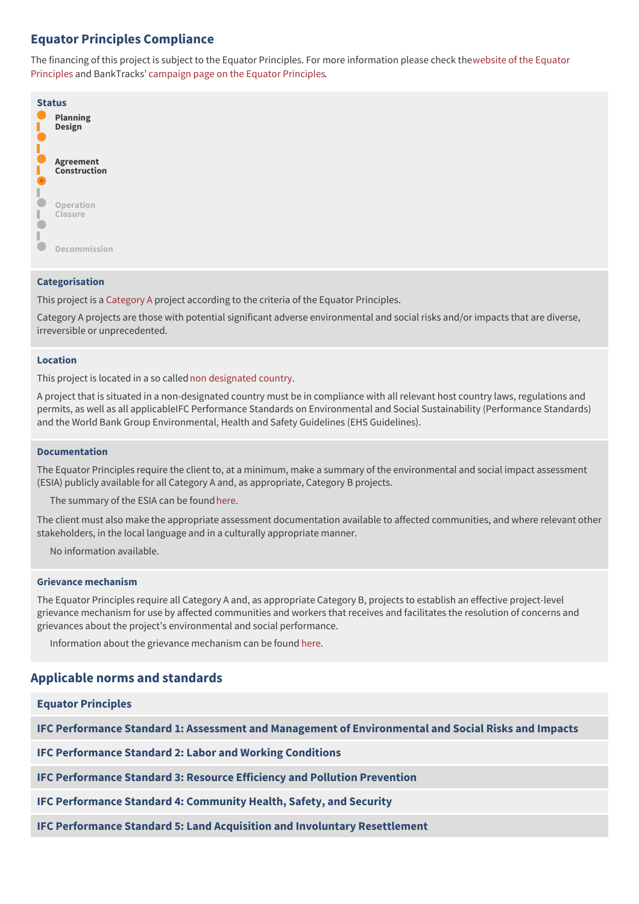## **Equator Principles Compliance**

The financing of this project is subject to the Equator Principles. For more information please check thewebsite of the Equator Principles and [BankTracks'](http://www.equator-principles.com) [campaign](https://www.banktrack.org/campaign/equator_principles) page on the Equator Principles.

| <b>Status</b> |                                  |  |  |
|---------------|----------------------------------|--|--|
|               | <b>Planning</b><br><b>Design</b> |  |  |
|               | <b>Agreement</b><br>Construction |  |  |
|               | Operation<br>Closure             |  |  |
|               | Decommission                     |  |  |

#### **Categorisation**

This project is a [Category](https://www.banktrack.org/download/equator_principles_categorisation) A project according to the criteria of the Equator Principles.

Category A projects are those with potential significant adverse environmental and social risks and/or impacts that are diverse, irreversible or unprecedented.

#### **Location**

This project is located in a so callednon [designated](http://www.equator-principles.com/index.php/ep3/designated-countries) country.

A project that is situated in a non-designated country must be in compliance with all relevant host country laws, regulations and permits, as well as all applicableIFC Performance Standards on Environmental and Social Sustainability (Performance Standards) and the World Bank Group Environmental, Health and Safety Guidelines (EHS Guidelines).

#### **Documentation**

The Equator Principles require the client to, at a minimum, make a summary of the environmental and social impact assessment (ESIA) publicly available for all Category A and, as appropriate, Category B projects.

The summary of the ESIA can be found [here](http://nachtigal-hpp.com/index.php/Documents_barrage_nachtigal.html?file=tl_files/fM_k0001/documents/Etudes/en/Environnemental%20and%20social%20review%20summary%20Revision%20No.%202%20May%2018%252C%202017%201.pdf).

The client must also make the appropriate assessment documentation available to affected communities, and where relevant other stakeholders, in the local language and in a culturally appropriate manner.

No information available.

#### **Grievance mechanism**

The Equator Principles require all Category A and, as appropriate Category B, projects to establish an effective project-level grievance mechanism for use by affected communities and workers that receives and facilitates the resolution of concerns and grievances about the project's environmental and social performance.

Information about the grievance mechanism can be found [here](http://nachtigal-hpp.com/index.php/grievance-mechanism.html).

### **Applicable norms and standards**

| <b>Equator Principles</b>                                                                           |
|-----------------------------------------------------------------------------------------------------|
| IFC Performance Standard 1: Assessment and Management of Environmental and Social Risks and Impacts |
| <b>IFC Performance Standard 2: Labor and Working Conditions</b>                                     |
| IFC Performance Standard 3: Resource Efficiency and Pollution Prevention                            |
| IFC Performance Standard 4: Community Health, Safety, and Security                                  |
| IFC Performance Standard 5: Land Acquisition and Involuntary Resettlement                           |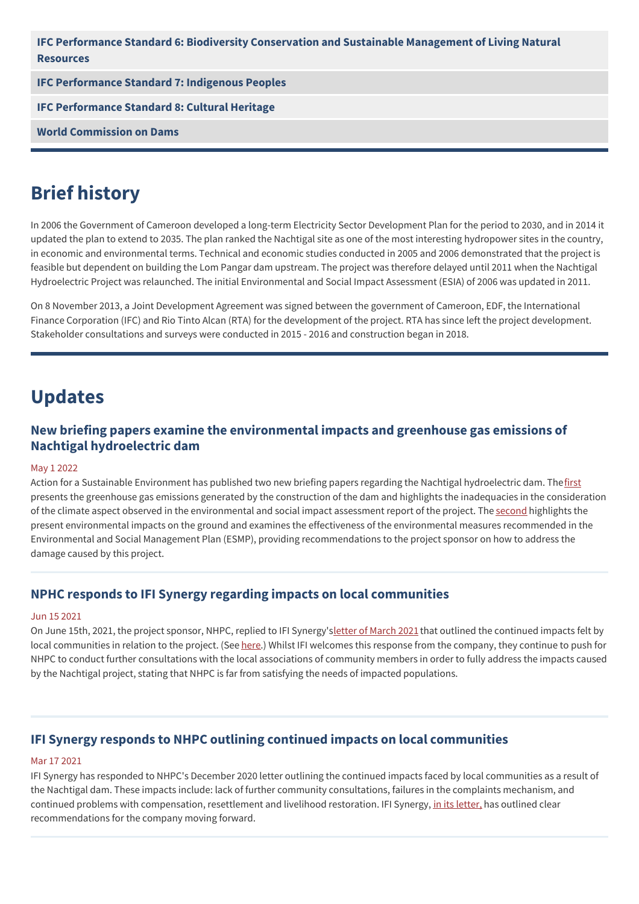| IFC Performance Standard 6: Biodiversity Conservation and Sustainable Management of Living Natural<br><b>Resources</b> |
|------------------------------------------------------------------------------------------------------------------------|
| <b>IFC Performance Standard 7: Indigenous Peoples</b>                                                                  |
| <b>IFC Performance Standard 8: Cultural Heritage</b>                                                                   |
| <b>World Commission on Dams</b>                                                                                        |

## **Brief history**

In 2006 the Government of Cameroon developed a long-term Electricity Sector Development Plan for the period to 2030, and in 2014 it updated the plan to extend to 2035. The plan ranked the Nachtigal site as one of the most interesting hydropower sites in the country, in economic and environmental terms. Technical and economic studies conducted in 2005 and 2006 demonstrated that the project is feasible but dependent on building the Lom Pangar dam upstream. The project was therefore delayed until 2011 when the Nachtigal Hydroelectric Project was relaunched. The initial Environmental and Social Impact Assessment (ESIA) of 2006 was updated in 2011.

On 8 November 2013, a Joint Development Agreement was signed between the government of Cameroon, EDF, the International Finance Corporation (IFC) and Rio Tinto Alcan (RTA) for the development of the project. RTA has since left the project development. Stakeholder consultations and surveys were conducted in 2015 - 2016 and construction began in 2018.

## **Updates**

## **New briefing papers examine the environmental impacts and greenhouse gas emissions of Nachtigal hydroelectric dam**

#### May 1 2022

Action for a Sustainable Environment has published two new briefing papers regarding the Nachtigal hydroelectric dam. The [first](https://www.banktrack.org/download/nachtigal_hydroelectric_dam_underestimate_of_greenhouse_gas_emissions) presents the greenhouse gas emissions generated by the construction of the dam and highlights the inadequacies in the consideration of the climate aspect observed in the environmental and social impact assessment report of the project. The [second](https://www.banktrack.org/download/nachtigal_hydroelectric_dam_what_are_the_environmental_impacts) highlights the present environmental impacts on the ground and examines the effectiveness of the environmental measures recommended in the Environmental and Social Management Plan (ESMP), providing recommendations to the project sponsor on how to address the damage caused by this project.

### **NPHC responds to IFI Synergy regarding impacts on local communities**

#### Jun 15 2021

On June 15th, 2021, the project sponsor, NHPC, replied to IFI Synergy's letter of [March](https://www.banktrack.org/download/letter_from_ifi_synergy_to_nhpc_on_responding_to_company_letter_and_addressing_continuing_community_impacts) 2021 that outlined the continued impacts felt by local communities in relation to the project. (See [here](https://www.banktrack.org/download/letter_from_nphc_to_ifi_synergy_on_response_to_letter_regarding_impacts_on_communities_of_nachtigal_dam).) Whilst IFI welcomes this response from the company, they continue to push for NHPC to conduct further consultations with the local associations of community members in order to fully address the impacts caused by the Nachtigal project, stating that NHPC is far from satisfying the needs of impacted populations.

## **IFI Synergy responds to NHPC outlining continued impacts on local communities**

#### Mar 17 2021

IFI Synergy has responded to NHPC's December 2020 letter outlining the continued impacts faced by local communities as a result of the Nachtigal dam. These impacts include: lack of further community consultations, failures in the complaints mechanism, and continued problems with compensation, resettlement and livelihood restoration. IFI Synergy, in its [letter,](https://www.banktrack.org/download/letter_from_ifi_synergy_to_nhpc_on_responding_to_company_letter_and_addressing_continuing_community_impacts) has outlined clear recommendations for the company moving forward.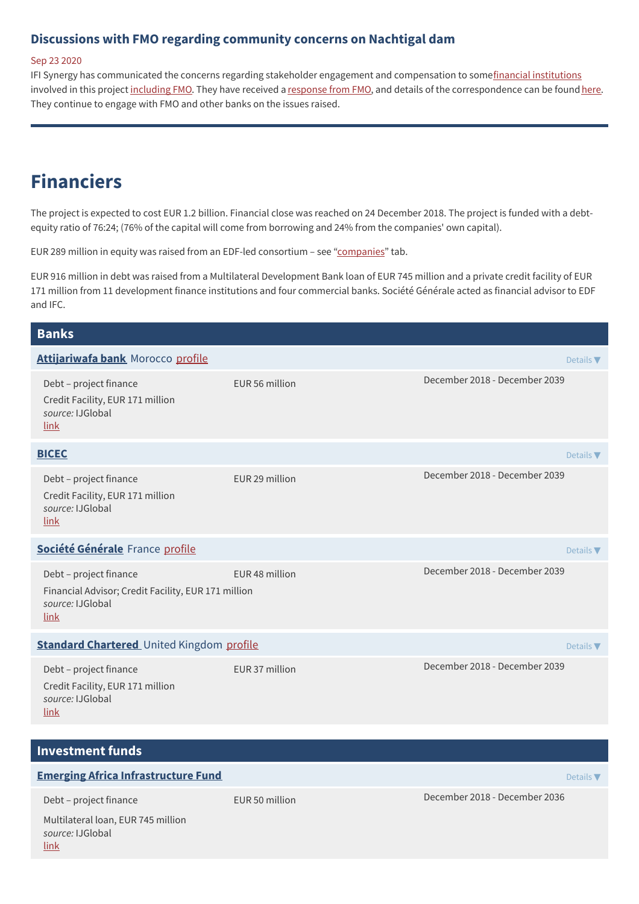### **Discussions with FMO regarding community concerns on Nachtigal dam**

#### Sep 23 2020

IFI Synergy has communicated the concerns regarding stakeholder engagement and compensation to somefinancial [institutions](https://www.banktrack.org/download/letter_from_ifi_synergy_to_nachtigal_project_investors_on_concerns_of_nachtigal_hydropower_project) involved in this project [including](https://www.banktrack.org/download/letter_from_ifi_synergy_to_fmo_on_nachtigal_hydropower_project) FMO. They have received a [response](https://www.banktrack.org/download/letter_from_fmo_to_ifi_synergy_on_response_to_concerns_on_nachtigal_hydropower_project) from FMO, and details of the correspondence can be found [here.](https://www.banktrack.org/download/letter_from_ifi_synergy_to_fmo_on_response_to_nachtigal_hydropower_project) They continue to engage with FMO and other banks on the issues raised.

## **Financiers**

The project is expected to cost EUR 1.2 billion. Financial close was reached on 24 December 2018. The project is funded with a debtequity ratio of 76:24; (76% of the capital will come from borrowing and 24% from the companies' own capital).

EUR 289 million in equity was raised from an EDF-led consortium – see ["companies](https://www.banktrack.org/project/nachtigal_hydropower_plant#companies)" tab.

EUR 916 million in debt was raised from a Multilateral Development Bank loan of EUR 745 million and a private credit facility of EUR 171 million from 11 development finance institutions and four commercial banks. Société Générale acted as financial advisor to EDF and IFC.

## **Banks Investment funds [Attijariwafa](https://www.attijariwafabank.com/en) bank** Morocco [profile](https://www.banktrack.org/bank/attijariwafa_bank) Details **■** Debt – project finance EUR 56 million December 2018 - December 2039 Credit Facility, EUR 171 million *source:* IJGlobal [link](https://ijglobal.com/data/transaction/32851/nachtigal-hydro-power-plant-420mw-ppp) **[BICEC](http://www.bicec.com/)** Details ▼ Debt – project finance EUR 29 million December 2018 - December 2039 Credit Facility, EUR 171 million *source:* IJGlobal [link](https://ijglobal.com/data/transaction/32851/nachtigal-hydro-power-plant-420mw-ppp) **Société [Générale](http://www.societegenerale.com/)** France [profile](https://www.banktrack.org/bank/societe_generale) **Details → Details → Details → Details → Details → Details → Details → Details → Details → Details → Details → Details → Details → Details → Details → Details → Details → Details → Detail** Debt – project finance EUR 48 million December 2018 - December 2039 Financial Advisor; Credit Facility, EUR 171 million *source:* IJGlobal [link](https://ijglobal.com/data/transaction/32851/nachtigal-hydro-power-plant-420mw-ppp) **Standard [Chartered](http://www.standardchartered.com)** United Kingdom [profile](https://www.banktrack.org/bank/standard_chartered) **Details Access Access Access Access Details The Details Test Access Details The Details Test Access Details The Details Test Access Details The Details Test Access Det** Debt – project finance EUR 37 million December 2018 - December 2039 Credit Facility, EUR 171 million *source:* IJGlobal [link](https://ijglobal.com/data/transaction/32851/nachtigal-hydro-power-plant-420mw-ppp) **Emerging Africa [Infrastructure](https://www.eaif.com/) Fund** Details **The Contract of Contract Punch Details The Details <b>The Contract Of Contract Punch Details The Details The Contract Of Contract Punch Details <b>The Details The Details The Deta** Debt – project finance EUR 50 million December 2018 - December 2036 Multilateral loan, EUR 745 million *source:* IJGlobal [link](https://ijglobal.com/data/transaction/32851/nachtigal-hydro-power-plant-420mw-ppp)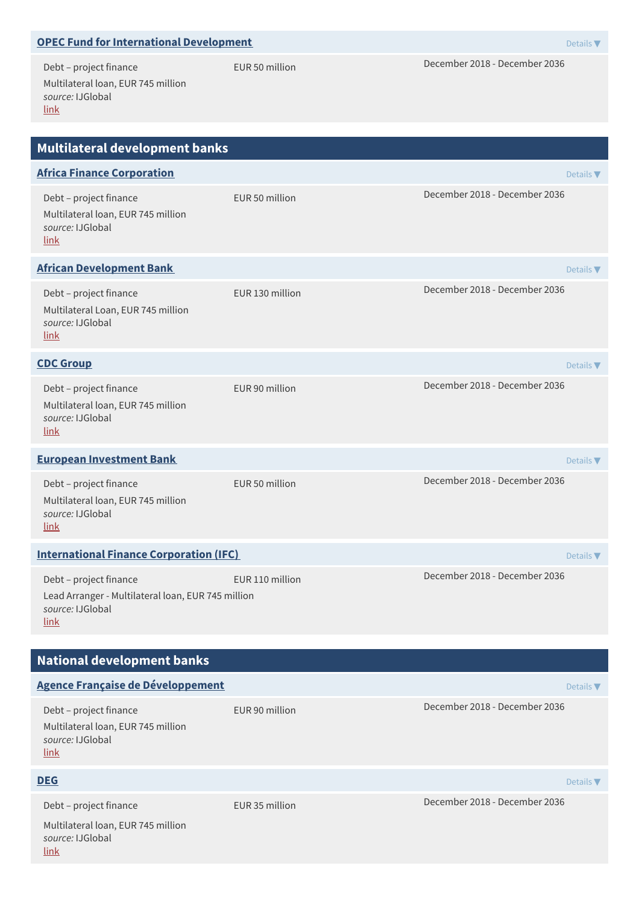| <b>OPEC Fund for International Development</b>                                                           |                  | Details $\nabla$              |  |  |  |  |
|----------------------------------------------------------------------------------------------------------|------------------|-------------------------------|--|--|--|--|
| Debt - project finance<br>Multilateral loan, EUR 745 million<br>source: IJGlobal<br><u>link</u>          | EUR 50 million   | December 2018 - December 2036 |  |  |  |  |
| Multilateral development banks                                                                           |                  |                               |  |  |  |  |
| <b>Africa Finance Corporation</b>                                                                        |                  | Details $\nabla$              |  |  |  |  |
| Debt - project finance<br>Multilateral loan, EUR 745 million<br>source: IJGlobal<br>link                 | EUR 50 million   | December 2018 - December 2036 |  |  |  |  |
| <b>African Development Bank</b>                                                                          |                  | Details $\blacktriangledown$  |  |  |  |  |
| Debt - project finance<br>Multilateral Loan, EUR 745 million<br>source: IJGlobal<br><u>link</u>          | FUR 130 million  | December 2018 - December 2036 |  |  |  |  |
| <b>CDC Group</b>                                                                                         | Details $\nabla$ |                               |  |  |  |  |
| Debt - project finance<br>Multilateral loan, EUR 745 million<br>source: IJGlobal<br><u>link</u>          | EUR 90 million   | December 2018 - December 2036 |  |  |  |  |
| <b>European Investment Bank</b>                                                                          |                  | Details $\nabla$              |  |  |  |  |
| Debt - project finance<br>Multilateral loan, EUR 745 million<br>source: IJGlobal<br>link                 | EUR 50 million   | December 2018 - December 2036 |  |  |  |  |
| <b>International Finance Corporation (IFC)</b><br>Details $\nabla$                                       |                  |                               |  |  |  |  |
| Debt - project finance<br>Lead Arranger - Multilateral loan, EUR 745 million<br>source: IJGlobal<br>link | EUR 110 million  | December 2018 - December 2036 |  |  |  |  |
| <b>National development banks</b>                                                                        |                  |                               |  |  |  |  |
| <b>Agence Française de Développement</b><br>Details $\nabla$                                             |                  |                               |  |  |  |  |
| Debt - project finance                                                                                   | EUR 90 million   | December 2018 - December 2036 |  |  |  |  |

Multilateral loan, EUR 745 million *source:* IJGlobal [link](https://ijglobal.com/data/transaction/32851/nachtigal-hydro-power-plant-420mw-ppp)

#### **[DEG](https://www.deginvest.de/International-financing/DEG/)** Details ▼

Multilateral loan, EUR 745 million *source:* IJGlobal [link](https://ijglobal.com/data/transaction/32851/nachtigal-hydro-power-plant-420mw-ppp)

Debt – project finance EUR 35 million December 2018 - December 2036